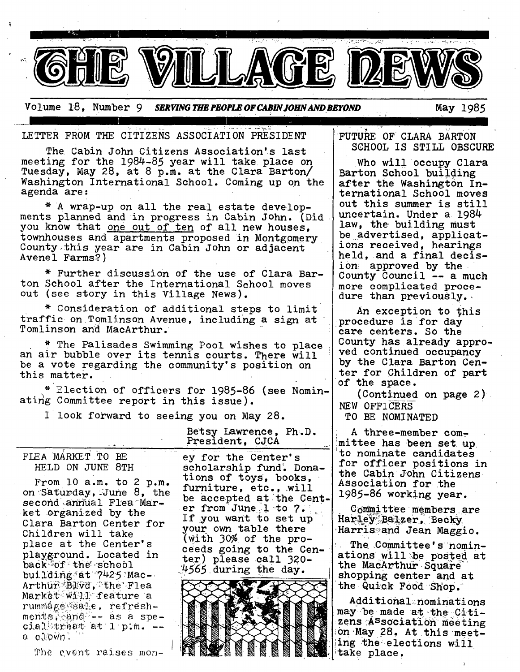

Volume 18, Number 9 *SERVING THE PEOPLE OF CABIN JOHN AND BEYOND* 

LETTER FROM THE CITIZENS ASSOCIATION PRESIDENT

The Cabin John Citizens Association's last meeting for the 1984-85 year will take place on Tuesday, May 28, at 8 p.m. at the Clara Barton/ Washington International School. Coming up on the agenda are :

\* A wrap-up on all the real estate developments planned and in progress in Cabin John. (Did you know that one out of ten of all new houses, townhouses and apartments proposed in Montgomery County~this year are in Cabin John or adjacent Avenel Farms?)

\* Further discussion of the use of Clara Barton School after the International School moves out (see story in this Village News).

\* Consideration of additional steps to limit traffic on T0mlinson Avenue, including a sign at " Tomlinson and MacArthur.'

\* The Palisades Swimming Pool wishes to place <sup>i</sup> an air bubble over its tennis courts. There will be a vote regarding the community's position on this matter.

\* Election of officers for 1985-86 (see Nominating Committee report in this issue).

I look forward to seeing you on May 28.

Betsy Lawrence, Ph.D. President, CJCA

**FLEA MARKET TO BE** HELD ON JUNE 8TH

From lO a.m. to 2 p.m. on Saturday, June  $8,$  the second annual Flea Market organized by the Clara Barton Center for Children will take place at the Center's playground. Located in back<sup>\*\*</sup>of the school building at:7425 Mac-Arthur-Blvd, the Flea Market will feature a  $r$ ummå $\kappa$ e  $\approx$ e $\lambda$ e, refresh*mon:t:S'i~-:~}~jD@/"~:'-* as a spea clown.

The qvent raises mon-

ey for the Center's scholarship fund. Donations of toys, books, furniture, etc., will be accepted at the Center from June 1 to 7. if you want to set up your own table there (with 30% of the proceeds going to the Center) please call 320-  $4565$  during the day.



FUTURE OF CLARA BARTON SCHOOL IS STILL OBSCURE

.',e *.-e : ~\_;* 

Who will occupy Clara Barton School building after the Washington International School moves out this summer is still uncertain. Under a 1984 law, the building must be advertised, applications received, hearings held, and a final decision approved by the County Council -- a much more complicated procedure than previously.

An exception to this procedure is for day care centers. So the County has already approved continued occupancy by the Clara Barton Center for Children of part of the space.

(Continued on page 2) NEW OFFICERS

TO BE NOMINATED

A three-member com mittee has been set up to nominate candidates for officer positions in the Cabin John Citizens Association for the 1985-86 working year.

Committee members are<br>Harley Balzer, Becky Harrisand Jean Maggio.

The Committee's nominations will be posted at the MacArthur Square shopping center and at the Quick Food Shop.

Additional:nominations may be made at the Citizens A<sup>s</sup>sociation meeting 10n:May 28. At this meet ing the elections will take place.

)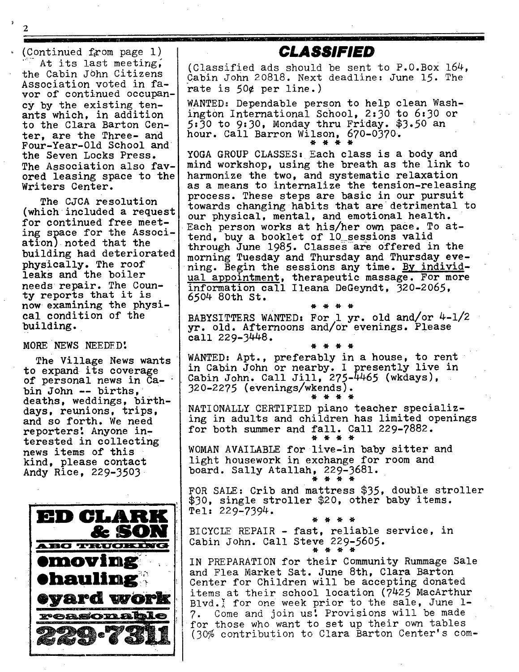2

(Continued from page i) At its last meeting. the Cabin John Citizens Association voted in favor of continued occupancy by the existing tenants which, in addition to the Clara Barton Center, are the Three- and Four-Year-01d School and the Seven Locks Press. The Association also favored leasing space to the Writers Center.

The CJCA resolution (which included a request for continued free meeting space for the Association) noted that the building had deteriorated physically. The roof leaks and the boiler needs repair. The County reports that it is now examining the physical condition of the building.

MORE NEWS **NEEDHD~** 

The Village News wants to expand its coverage of personal news in Cabin John -- births, deaths, weddings, birthdays, reunions, trips, and so forth. We need reporters! Anyone interested in collecting news items of this kind, please contact Andy Rice, 229-3503



## *CLASSIFIED*

*|* 

(Classified ads should be sent to P.0.Box 164, Cabin John 20818. Next deadline: June 15. The rate is 50¢ per line.)

WANTED: Dependable person to help clean Washington International School, 2:30 to 6:30 or 5:30 to 9:30, Monday thru Friday. \$3.50 an hour. Call Barron Wilson, 670-0370.<br>\* \* \* \*

YOGA GROUP CLASSES: Each class is a body and mind workshop, using the breath as the link to harmonize the two, and systematic relaxation as a means to internalize the tension-releasing process. These steps are basic in our pursuit towards changing habits that are detrimental to our physical, mental, and emotional health. Each person works at his/her own pace. To attend, buy a booklet of i0 sessions valid through June 1985. Classes are offered in the morning Tuesday and Thursday and Thursday evening. Begin the sessions any time. By individual appointment, therapeutic massage. For more information call Ileana DeGeyndt, 320-2065, 6504 80th St.

BABYSITTERS WANTED: For 1 yr. old and/or 4-1/2 yr. old. Afternoons and/or evenings. Please call 229-3448. \* \* \* \*

@ @ @ @

WANTED: Apt., preferably in a house, to rent in Cabin John or nearby. 1 presently live in Cabin John. Call Jill, 275-4465 (wkdays), 320-2275 (evenings/wkends). @ @ @ @

NATIONALLY CERTIFIED piano teacher specializing in adults and children has limited openings for both summer and fall. Call 229-7882. @@@@

WOMAN AVAILABLE for live-in baby sitter and light housework in exchange for room and board. Sally Atallah, 229-3681.<br>\* \* \* \*

FOR SALE: Crib and mattress \$35, double stroller \$30, single stroller \$20, other baby items.  $Tel: 229-7394.$ 

\* \* \* \*

BICYCIZ REPAIR - fast, reliable service, in Cabin John. Call Steve 229-5605. \* \* \* \*

IN PREPARATION for their Community Rummage Sale and Flea Market Sat. June 8th, Clara Barton Center for Children will be accepting donated items at their school location (7425 MacArthur Blvd. for one week prior to the sale, June 1-7. Come and join us: Provisions will be made for those who want to set up their own tables (30% contribution to Clara Barton Center's **com-**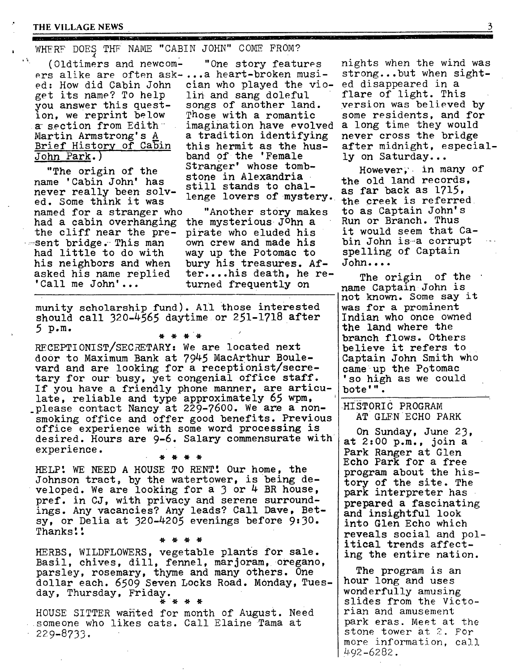#### **THE VILLAGE NEWS**

### WHERF DOES THF NAME "CABIN JOHN" COME FROM?

~ (01dtimers and newcom- "One story features ers alike are often ask-...a heart-broken musied: How did Cabin John get its name? To help you answer this question, we reprint below a section from Edith -Martin Armstrong's A Brief History of Cabin John Park.)

"The origin of the name 'Cabin John' has never really been solved. Some think it was named for a stranger who "Another story make<br>had a cabin overhanging the mysterious J<sup>o</sup>hn a ~:sent bridge.-This man had a cabin overhanging the cliff near the pre- pirate who eluded his had little to do with way up the Potomac to<br>his neighbors and when bury his treasures. A 'Call me John'... turned frequently on

cian who played the vio- ed disappeared in a lin and sang doleful flare of light. This songs of another land. version was believed by Those with a romantic some residents, and for imagination have evolved a long time they would a tradition identifying this hermit as the husband of the 'Female Stranger' whose tombstone in Alexandria still stands to challenge lovers of mystery.

"Another story makes own crew and made his bury his treasures. Afasked his name replied ter....his death, he re-

munity scholarship fund). All those interested should call 320-4565 daytime or 251-1718 after 5 p.m.

@ @ @ @

RECEPTIONIST/SECRETARY: We are located next door to Maximum Bank at 7945 MacArthur Boulevard and are looking for a receptionist/secretary for our busy, yet congenial office staff. If you have a friendly phone manner, are articulate, reliable and type approximately 65 wpm, \_please contact Nancy at 229-7600. We are a nonsmoking office and offer good benefits. Previous office experience with some word processing is desired. Hours are 9-6. Salary commensurate with experience.

HELP: WE NEED A HOUSE TO RENT: Our home, the Johnson tract, by the watertower, is being developed. We are looking for a 3 or 4 BR house, pref. in CJ, with privacy and serene surroundings. Any vacancies? Any leads? Call Dave, Betsy, or Delia at 320-4205 evenings before 9:30. Thanks::

@ @ @ @

HERBS, WILDFLOWERS, vegetable plants for sale. Basil, chives, dill, fennel, marjoram, oregano, parsley, rosemary, thyme and many others. One dollar each. 6509 Seven Locks Road. Monday, Tuesday, Thursday, Friday.<br>\*\*\*\*

HOUSE SITTER wanted for month of August. Need someone who likes cats. Call Elaine Tama at  $-229 - 8733.$ 

nights when the wind was strong...but when sightnever cross the bridge after midnight, especially on Saturday...

However; in many of the old land records, as far back as 1715, the creek is referred to as Captain John's Run or Branch. Thus it would seem that Cabin John is-a corrupt spelling of Captain  ${\tt John...}.$ 

The origin of the name Captain John is not known. Some say it was for a prominent Indian who once owned the land where the branch flows. Others believe it refers to Captain John Smith who came up the Potomac 'so high as we could bote'".

HiSTORIC PROGRAM ATGLEN ECH0 PARK

On Sunday, June 23, at 2:00 p.m., join a Park Ranger at Glen Echo Park for a free program about the history of the site. The park interpreter has prepared a fascinating and insightful look into Glen Echo which reveals social and political trends affecting the entire nation.

The program is an hour long and uses wonderfully amusing slides from the Victorian and amusement park eras. Meet at the stone tower at 2. For more information, call 492-6282.